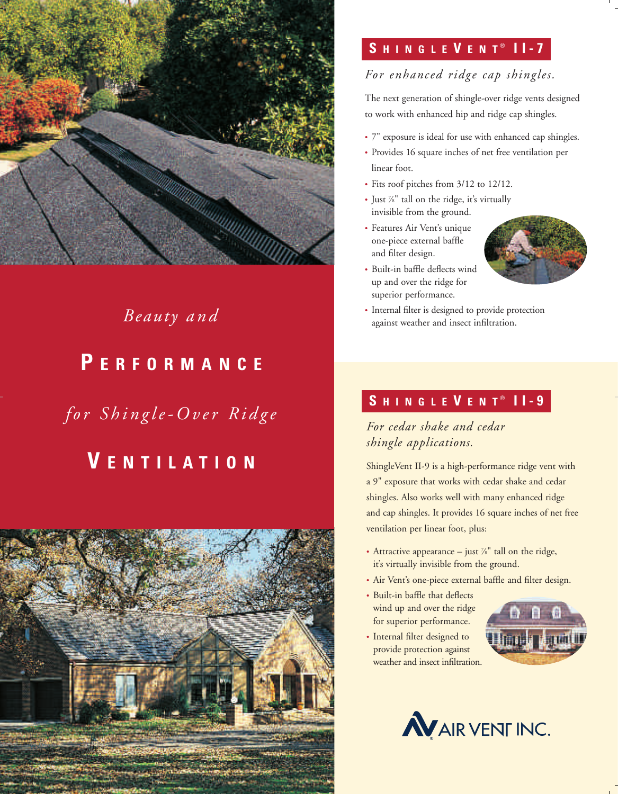

# **P ERFORMANCE**

*for Shingle-Over Ridge*

# **V ENTILATION**



### **S HINGLE V ENT II-7** ®

### *For enhanced ridge cap shingles.*

The next generation of shingle-over ridge vents designed to work with enhanced hip and ridge cap shingles.

- 7" exposure is ideal for use with enhanced cap shingles.
- Provides 16 square inches of net free ventilation per linear foot.
- Fits roof pitches from 3/12 to 12/12.
- Just 7 ⁄8" tall on the ridge, it's virtually invisible from the ground.
- Features Air Vent's unique one-piece external baffle and filter design.
- Built-in baffle deflects wind up and over the ridge for superior performance.



*Beauty and* **·** Internal filter is designed to provide protection against weather and insect infiltration.

## **S HINGLE V ENT II-9** ®

*For cedar shake and cedar shingle applications.*

ShingleVent II-9 is a high-performance ridge vent with a 9" exposure that works with cedar shake and cedar shingles. Also works well with many enhanced ridge and cap shingles. It provides 16 square inches of net free ventilation per linear foot, plus:

- Attractive appearance  $-$  just  $\frac{7}{8}$ " tall on the ridge, it's virtually invisible from the ground.
- Air Vent's one-piece external baffle and filter design.
- Built-in baffle that deflects wind up and over the ridge for superior performance.
- Internal filter designed to provide protection against weather and insect infiltration.